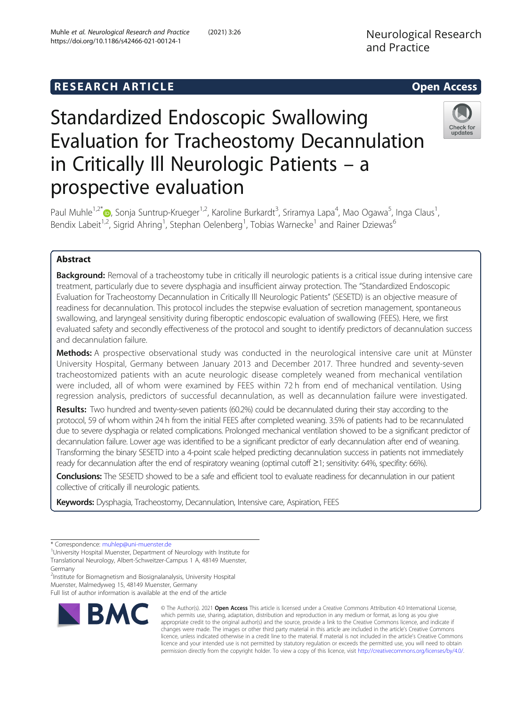# **RESEARCH ARTICLE Example 2014 12:30 The SEAR CH ACCESS**

# Standardized Endoscopic Swallowing Evaluation for Tracheostomy Decannulation in Critically Ill Neurologic Patients – a prospective evaluation



Paul Muhle<sup>1,2[\\*](http://orcid.org/0000-0003-0865-0297)</sup>�, Sonja Suntrup-Krueger<sup>1,2</sup>, Karoline Burkardt<sup>3</sup>, Sriramya Lapa<sup>4</sup>, Mao Ogawa<sup>5</sup>, Inga Claus<sup>1</sup> , Bendix Labeit<sup>1,2</sup>, Sigrid Ahring<sup>1</sup>, Stephan Oelenberg<sup>1</sup>, Tobias Warnecke<sup>1</sup> and Rainer Dziewas<sup>6</sup>

## Abstract

Background: Removal of a tracheostomy tube in critically ill neurologic patients is a critical issue during intensive care treatment, particularly due to severe dysphagia and insufficient airway protection. The "Standardized Endoscopic Evaluation for Tracheostomy Decannulation in Critically Ill Neurologic Patients" (SESETD) is an objective measure of readiness for decannulation. This protocol includes the stepwise evaluation of secretion management, spontaneous swallowing, and laryngeal sensitivity during fiberoptic endoscopic evaluation of swallowing (FEES). Here, we first evaluated safety and secondly effectiveness of the protocol and sought to identify predictors of decannulation success and decannulation failure.

Methods: A prospective observational study was conducted in the neurological intensive care unit at Münster University Hospital, Germany between January 2013 and December 2017. Three hundred and seventy-seven tracheostomized patients with an acute neurologic disease completely weaned from mechanical ventilation were included, all of whom were examined by FEES within 72 h from end of mechanical ventilation. Using regression analysis, predictors of successful decannulation, as well as decannulation failure were investigated.

Results: Two hundred and twenty-seven patients (60.2%) could be decannulated during their stay according to the protocol, 59 of whom within 24 h from the initial FEES after completed weaning. 3.5% of patients had to be recannulated due to severe dysphagia or related complications. Prolonged mechanical ventilation showed to be a significant predictor of decannulation failure. Lower age was identified to be a significant predictor of early decannulation after end of weaning. Transforming the binary SESETD into a 4-point scale helped predicting decannulation success in patients not immediately ready for decannulation after the end of respiratory weaning (optimal cutoff ≥1; sensitivity: 64%, specifity: 66%).

Conclusions: The SESETD showed to be a safe and efficient tool to evaluate readiness for decannulation in our patient collective of critically ill neurologic patients.

Keywords: Dysphagia, Tracheostomy, Decannulation, Intensive care, Aspiration, FEES

Muenster, Malmedyweg 15, 48149 Muenster, Germany

Full list of author information is available at the end of the article



© The Author(s). 2021 Open Access This article is licensed under a Creative Commons Attribution 4.0 International License, which permits use, sharing, adaptation, distribution and reproduction in any medium or format, as long as you give appropriate credit to the original author(s) and the source, provide a link to the Creative Commons licence, and indicate if changes were made. The images or other third party material in this article are included in the article's Creative Commons licence, unless indicated otherwise in a credit line to the material. If material is not included in the article's Creative Commons licence and your intended use is not permitted by statutory regulation or exceeds the permitted use, you will need to obtain permission directly from the copyright holder. To view a copy of this licence, visit [http://creativecommons.org/licenses/by/4.0/.](http://creativecommons.org/licenses/by/4.0/)

<sup>\*</sup> Correspondence: [muhlep@uni-muenster.de](mailto:muhlep@uni-muenster.de) <sup>1</sup>

<sup>&</sup>lt;sup>1</sup>University Hospital Muenster, Department of Neurology with Institute for Translational Neurology, Albert-Schweitzer-Campus 1 A, 48149 Muenster,

Germany <sup>2</sup>Institute for Biomagnetism and Biosignalanalysis, University Hospital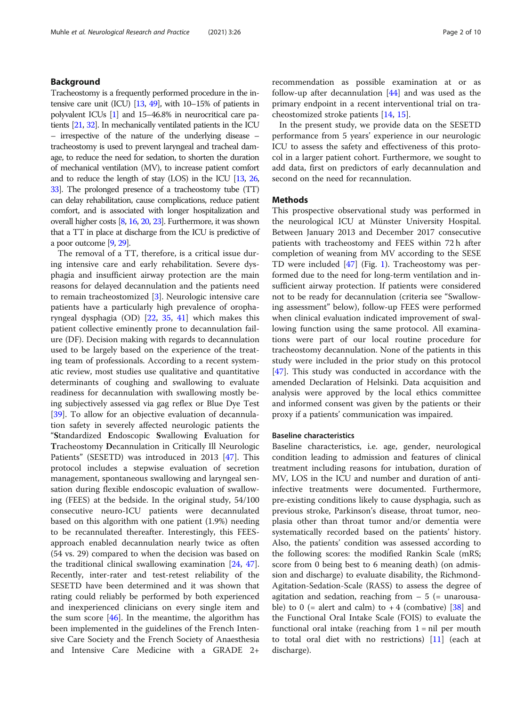#### Background

Tracheostomy is a frequently performed procedure in the intensive care unit (ICU) [[13,](#page-8-0) [49](#page-9-0)], with 10–15% of patients in polyvalent ICUs [[1](#page-8-0)] and 15–46.8% in neurocritical care patients [\[21](#page-9-0), [32](#page-9-0)]. In mechanically ventilated patients in the ICU – irrespective of the nature of the underlying disease – tracheostomy is used to prevent laryngeal and tracheal damage, to reduce the need for sedation, to shorten the duration of mechanical ventilation (MV), to increase patient comfort and to reduce the length of stay (LOS) in the ICU [\[13,](#page-8-0) [26](#page-9-0), [33\]](#page-9-0). The prolonged presence of a tracheostomy tube (TT) can delay rehabilitation, cause complications, reduce patient comfort, and is associated with longer hospitalization and overall higher costs [\[8,](#page-8-0) [16](#page-8-0), [20,](#page-9-0) [23\]](#page-9-0). Furthermore, it was shown that a TT in place at discharge from the ICU is predictive of a poor outcome [\[9,](#page-8-0) [29](#page-9-0)].

The removal of a TT, therefore, is a critical issue during intensive care and early rehabilitation. Severe dysphagia and insufficient airway protection are the main reasons for delayed decannulation and the patients need to remain tracheostomized [[3\]](#page-8-0). Neurologic intensive care patients have a particularly high prevalence of oropharyngeal dysphagia (OD) [[22,](#page-9-0) [35](#page-9-0), [41](#page-9-0)] which makes this patient collective eminently prone to decannulation failure (DF). Decision making with regards to decannulation used to be largely based on the experience of the treating team of professionals. According to a recent systematic review, most studies use qualitative and quantitative determinants of coughing and swallowing to evaluate readiness for decannulation with swallowing mostly being subjectively assessed via gag reflex or Blue Dye Test [[39\]](#page-9-0). To allow for an objective evaluation of decannulation safety in severely affected neurologic patients the "Standardized Endoscopic Swallowing Evaluation for Tracheostomy Decannulation in Critically Ill Neurologic Patients" (SESETD) was introduced in 2013 [\[47](#page-9-0)]. This protocol includes a stepwise evaluation of secretion management, spontaneous swallowing and laryngeal sensation during flexible endoscopic evaluation of swallowing (FEES) at the bedside. In the original study, 54/100 consecutive neuro-ICU patients were decannulated based on this algorithm with one patient (1.9%) needing to be recannulated thereafter. Interestingly, this FEESapproach enabled decannulation nearly twice as often (54 vs. 29) compared to when the decision was based on the traditional clinical swallowing examination [\[24](#page-9-0), [47](#page-9-0)]. Recently, inter-rater and test-retest reliability of the SESETD have been determined and it was shown that rating could reliably be performed by both experienced and inexperienced clinicians on every single item and the sum score  $[46]$  $[46]$  $[46]$ . In the meantime, the algorithm has been implemented in the guidelines of the French Intensive Care Society and the French Society of Anaesthesia and Intensive Care Medicine with a GRADE 2+

recommendation as possible examination at or as follow-up after decannulation [[44](#page-9-0)] and was used as the primary endpoint in a recent interventional trial on tracheostomized stroke patients [[14,](#page-8-0) [15\]](#page-8-0).

In the present study, we provide data on the SESETD performance from 5 years' experience in our neurologic ICU to assess the safety and effectiveness of this protocol in a larger patient cohort. Furthermore, we sought to add data, first on predictors of early decannulation and second on the need for recannulation.

#### **Methods**

This prospective observational study was performed in the neurological ICU at Münster University Hospital. Between January 2013 and December 2017 consecutive patients with tracheostomy and FEES within 72 h after completion of weaning from MV according to the SESE TD were included [[47\]](#page-9-0) (Fig. [1](#page-2-0)). Tracheostomy was performed due to the need for long-term ventilation and insufficient airway protection. If patients were considered not to be ready for decannulation (criteria see "Swallowing assessment" below), follow-up FEES were performed when clinical evaluation indicated improvement of swallowing function using the same protocol. All examinations were part of our local routine procedure for tracheostomy decannulation. None of the patients in this study were included in the prior study on this protocol [[47\]](#page-9-0). This study was conducted in accordance with the amended Declaration of Helsinki. Data acquisition and analysis were approved by the local ethics committee and informed consent was given by the patients or their proxy if a patients' communication was impaired.

#### Baseline characteristics

Baseline characteristics, i.e. age, gender, neurological condition leading to admission and features of clinical treatment including reasons for intubation, duration of MV, LOS in the ICU and number and duration of antiinfective treatments were documented. Furthermore, pre-existing conditions likely to cause dysphagia, such as previous stroke, Parkinson's disease, throat tumor, neoplasia other than throat tumor and/or dementia were systematically recorded based on the patients' history. Also, the patients' condition was assessed according to the following scores: the modified Rankin Scale (mRS; score from 0 being best to 6 meaning death) (on admission and discharge) to evaluate disability, the Richmond-Agitation-Sedation-Scale (RASS) to assess the degree of agitation and sedation, reaching from  $-5$  (= unarousable) to  $0$  (= alert and calm) to  $+4$  (combative) [[38\]](#page-9-0) and the Functional Oral Intake Scale (FOIS) to evaluate the functional oral intake (reaching from  $1 = \text{nil}$  per mouth to total oral diet with no restrictions) [\[11](#page-8-0)] (each at discharge).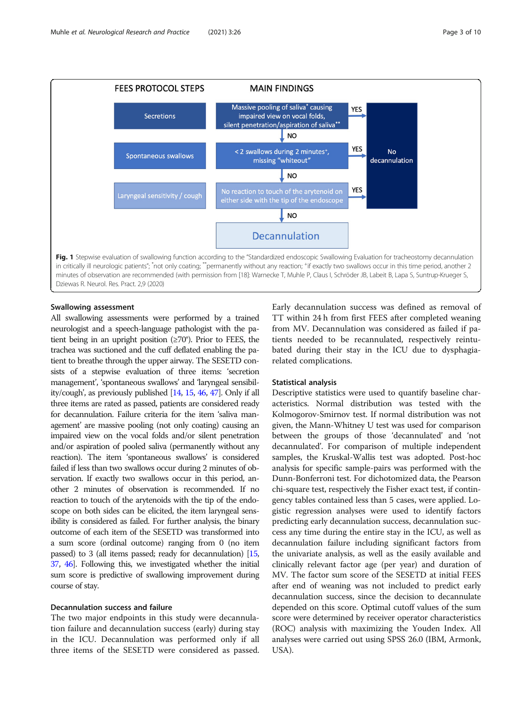<span id="page-2-0"></span>

#### Swallowing assessment

All swallowing assessments were performed by a trained neurologist and a speech-language pathologist with the patient being in an upright position (≥70°). Prior to FEES, the trachea was suctioned and the cuff deflated enabling the patient to breathe through the upper airway. The SESETD consists of a stepwise evaluation of three items: 'secretion management', 'spontaneous swallows' and 'laryngeal sensibility/cough', as previously published [\[14,](#page-8-0) [15,](#page-8-0) [46,](#page-9-0) [47\]](#page-9-0). Only if all three items are rated as passed, patients are considered ready for decannulation. Failure criteria for the item 'saliva management' are massive pooling (not only coating) causing an impaired view on the vocal folds and/or silent penetration and/or aspiration of pooled saliva (permanently without any reaction). The item 'spontaneous swallows' is considered failed if less than two swallows occur during 2 minutes of observation. If exactly two swallows occur in this period, another 2 minutes of observation is recommended. If no reaction to touch of the arytenoids with the tip of the endoscope on both sides can be elicited, the item laryngeal sensibility is considered as failed. For further analysis, the binary outcome of each item of the SESETD was transformed into a sum score (ordinal outcome) ranging from 0 (no item passed) to 3 (all items passed; ready for decannulation) [\[15](#page-8-0), [37,](#page-9-0) [46\]](#page-9-0). Following this, we investigated whether the initial sum score is predictive of swallowing improvement during course of stay.

#### Decannulation success and failure

The two major endpoints in this study were decannulation failure and decannulation success (early) during stay in the ICU. Decannulation was performed only if all three items of the SESETD were considered as passed. Early decannulation success was defined as removal of TT within 24 h from first FEES after completed weaning from MV. Decannulation was considered as failed if patients needed to be recannulated, respectively reintubated during their stay in the ICU due to dysphagiarelated complications.

#### Statistical analysis

Descriptive statistics were used to quantify baseline characteristics. Normal distribution was tested with the Kolmogorov-Smirnov test. If normal distribution was not given, the Mann-Whitney U test was used for comparison between the groups of those 'decannulated' and 'not decannulated'. For comparison of multiple independent samples, the Kruskal-Wallis test was adopted. Post-hoc analysis for specific sample-pairs was performed with the Dunn-Bonferroni test. For dichotomized data, the Pearson chi-square test, respectively the Fisher exact test, if contingency tables contained less than 5 cases, were applied. Logistic regression analyses were used to identify factors predicting early decannulation success, decannulation success any time during the entire stay in the ICU, as well as decannulation failure including significant factors from the univariate analysis, as well as the easily available and clinically relevant factor age (per year) and duration of MV. The factor sum score of the SESETD at initial FEES after end of weaning was not included to predict early decannulation success, since the decision to decannulate depended on this score. Optimal cutoff values of the sum score were determined by receiver operator characteristics (ROC) analysis with maximizing the Youden Index. All analyses were carried out using SPSS 26.0 (IBM, Armonk, USA).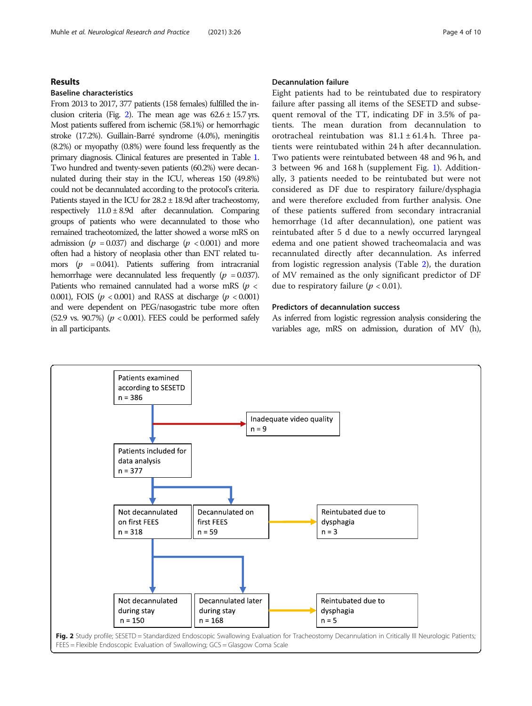#### Results

#### Baseline characteristics

From 2013 to 2017, 377 patients (158 females) fulfilled the inclusion criteria (Fig. 2). The mean age was  $62.6 \pm 15.7$  yrs. Most patients suffered from ischemic (58.1%) or hemorrhagic stroke (17.2%). Guillain-Barré syndrome (4.0%), meningitis (8.2%) or myopathy (0.8%) were found less frequently as the primary diagnosis. Clinical features are presented in Table [1](#page-4-0). Two hundred and twenty-seven patients (60.2%) were decannulated during their stay in the ICU, whereas 150 (49.8%) could not be decannulated according to the protocol's criteria. Patients stayed in the ICU for 28.2 ± 18.9d after tracheostomy, respectively  $11.0 \pm 8.9d$  after decannulation. Comparing groups of patients who were decannulated to those who remained tracheotomized, the latter showed a worse mRS on admission ( $p = 0.037$ ) and discharge ( $p < 0.001$ ) and more often had a history of neoplasia other than ENT related tumors  $(p = 0.041)$ . Patients suffering from intracranial hemorrhage were decannulated less frequently ( $p = 0.037$ ). Patients who remained cannulated had a worse mRS ( $p <$ 0.001), FOIS ( $p < 0.001$ ) and RASS at discharge ( $p < 0.001$ ) and were dependent on PEG/nasogastric tube more often (52.9 vs. 90.7%) ( $p < 0.001$ ). FEES could be performed safely in all participants.

#### Decannulation failure

Eight patients had to be reintubated due to respiratory failure after passing all items of the SESETD and subsequent removal of the TT, indicating DF in 3.5% of patients. The mean duration from decannulation to orotracheal reintubation was  $81.1 \pm 61.4$  h. Three patients were reintubated within 24 h after decannulation. Two patients were reintubated between 48 and 96 h, and 3 between 96 and 168 h (supplement Fig. [1](#page-8-0)). Additionally, 3 patients needed to be reintubated but were not considered as DF due to respiratory failure/dysphagia and were therefore excluded from further analysis. One of these patients suffered from secondary intracranial hemorrhage (1d after decannulation), one patient was reintubated after 5 d due to a newly occurred laryngeal edema and one patient showed tracheomalacia and was recannulated directly after decannulation. As inferred from logistic regression analysis (Table [2](#page-5-0)), the duration of MV remained as the only significant predictor of DF due to respiratory failure ( $p < 0.01$ ).

#### Predictors of decannulation success

As inferred from logistic regression analysis considering the variables age, mRS on admission, duration of MV (h),

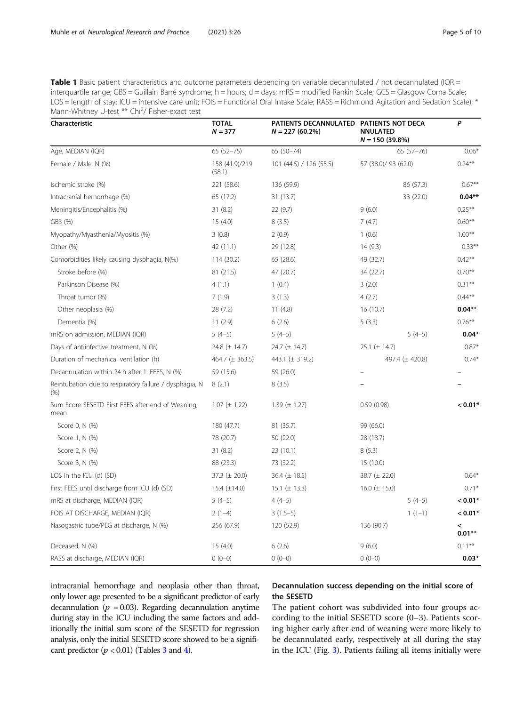<span id="page-4-0"></span>Table 1 Basic patient characteristics and outcome parameters depending on variable decannulated / not decannulated (IQR = interquartile range; GBS = Guillain Barré syndrome; h = hours; d = days; mRS = modified Rankin Scale; GCS = Glasgow Coma Scale; LOS = length of stay; ICU = intensive care unit; FOIS = Functional Oral Intake Scale; RASS = Richmond Agitation and Sedation Scale); \* Mann-Whitney U-test \*\* Chi<sup>2</sup>/ Fisher-exact test

| Characteristic                                                 | <b>TOTAL</b><br>$N = 377$ | PATIENTS DECANNULATED PATIENTS NOT DECA<br>$N = 227(60.2\%)$ | <b>NNULATED</b><br>$N = 150(39.8%)$ | P                   |
|----------------------------------------------------------------|---------------------------|--------------------------------------------------------------|-------------------------------------|---------------------|
| Age, MEDIAN (IQR)                                              | $65(52-75)$               | $65(50-74)$                                                  | $65(57-76)$                         | $0.06*$             |
| Female / Male, N (%)                                           | 158 (41.9)/219<br>(58.1)  | 101 (44.5) / 126 (55.5)                                      | 57 (38.0)/ 93 (62.0)                | $0.24**$            |
| Ischemic stroke (%)                                            | 221 (58.6)                | 136 (59.9)                                                   | 86 (57.3)                           | $0.67***$           |
| Intracranial hemorrhage (%)                                    | 65 (17.2)                 | 31 (13.7)                                                    | 33 (22.0)                           | $0.04**$            |
| Meningitis/Encephalitis (%)                                    | 31(8.2)                   | 22(9.7)                                                      | 9(6.0)                              | $0.25***$           |
| GBS (%)                                                        | 15(4.0)                   | 8(3.5)                                                       | 7(4.7)                              | $0.60**$            |
| Myopathy/Myasthenia/Myositis (%)                               | 3(0.8)                    | 2(0.9)                                                       | 1(0.6)                              | $1.00**$            |
| Other (%)                                                      | 42 (11.1)                 | 29 (12.8)                                                    | 14(9.3)                             | $0.33***$           |
| Comorbidities likely causing dysphagia, N(%)                   | 114 (30.2)                | 65 (28.6)                                                    | 49 (32.7)                           | $0.42***$           |
| Stroke before (%)                                              | 81 (21.5)                 | 47 (20.7)                                                    | 34 (22.7)                           | $0.70**$            |
| Parkinson Disease (%)                                          | 4(1.1)                    | 1(0.4)                                                       | 3(2.0)                              | $0.31**$            |
| Throat tumor (%)                                               | 7(1.9)                    | 3(1.3)                                                       | 4(2.7)                              | $0.44***$           |
| Other neoplasia (%)                                            | 28(7.2)                   | 11(4.8)                                                      | 16(10.7)                            | $0.04**$            |
| Dementia (%)                                                   | 11(2.9)                   | 6(2.6)                                                       | 5(3.3)                              | $0.76***$           |
| mRS on admission, MEDIAN (IQR)                                 | $5(4-5)$                  | $5(4-5)$                                                     | $5(4-5)$                            | $0.04*$             |
| Days of antiinfective treatment, N (%)                         | 24.8 ( $\pm$ 14.7)        | 24.7 ( $\pm$ 14.7)                                           | 25.1 $(\pm 14.7)$                   | $0.87*$             |
| Duration of mechanical ventilation (h)                         | 464.7 $(\pm 363.5)$       | 443.1 $(\pm 319.2)$                                          | 497.4 (± 420.8)                     | $0.74*$             |
| Decannulation within 24 h after 1. FEES, N (%)                 | 59 (15.6)                 | 59 (26.0)                                                    |                                     |                     |
| Reintubation due to respiratory failure / dysphagia, N<br>(% ) | 8(2.1)                    | 8(3.5)                                                       |                                     |                     |
| Sum Score SESETD First FEES after end of Weaning,<br>mean      | $1.07 (\pm 1.22)$         | $1.39 \ (\pm 1.27)$                                          | 0.59(0.98)                          | $< 0.01*$           |
| Score 0, N (%)                                                 | 180 (47.7)                | 81 (35.7)                                                    | 99 (66.0)                           |                     |
| Score 1, N (%)                                                 | 78 (20.7)                 | 50 (22.0)                                                    | 28 (18.7)                           |                     |
| Score 2, N (%)                                                 | 31(8.2)                   | 23(10.1)                                                     | 8(5.3)                              |                     |
| Score 3, N (%)                                                 | 88 (23.3)                 | 73 (32.2)                                                    | 15 (10.0)                           |                     |
| LOS in the ICU (d) (SD)                                        | 37.3 ( $\pm$ 20.0)        | 36.4 $(\pm 18.5)$                                            | 38.7 $(\pm 22.0)$                   | $0.64*$             |
| First FEES until discharge from ICU (d) (SD)                   | 15.4 $(\pm 14.0)$         | 15.1 $(\pm$ 13.3)                                            | 16.0 $(\pm 15.0)$                   | $0.71*$             |
| mRS at discharge, MEDIAN (IQR)                                 | $5(4-5)$                  | $4(4-5)$                                                     | $5(4-5)$                            | $< 0.01*$           |
| FOIS AT DISCHARGE, MEDIAN (IQR)                                | $2(1-4)$                  | $3(1.5-5)$                                                   | $1(1-1)$                            | $< 0.01*$           |
| Nasogastric tube/PEG at discharge, N (%)                       | 256 (67.9)                | 120 (52.9)                                                   | 136 (90.7)                          | $\,<\,$<br>$0.01**$ |
| Deceased, N (%)                                                | 15(4.0)                   | 6(2.6)                                                       | 9(6.0)                              | $0.11***$           |
| RASS at discharge, MEDIAN (IQR)                                | $0(0-0)$                  | $0(0-0)$                                                     | $0(0-0)$                            | $0.03*$             |

intracranial hemorrhage and neoplasia other than throat, only lower age presented to be a significant predictor of early decannulation ( $p = 0.03$ ). Regarding decannulation anytime during stay in the ICU including the same factors and additionally the initial sum score of the SESETD for regression analysis, only the initial SESETD score showed to be a significant predictor  $(p < 0.01)$  (Tables [3](#page-5-0) and [4\)](#page-6-0).

### Decannulation success depending on the initial score of the SESETD

The patient cohort was subdivided into four groups according to the initial SESETD score (0–3). Patients scoring higher early after end of weaning were more likely to be decannulated early, respectively at all during the stay in the ICU (Fig. [3](#page-6-0)). Patients failing all items initially were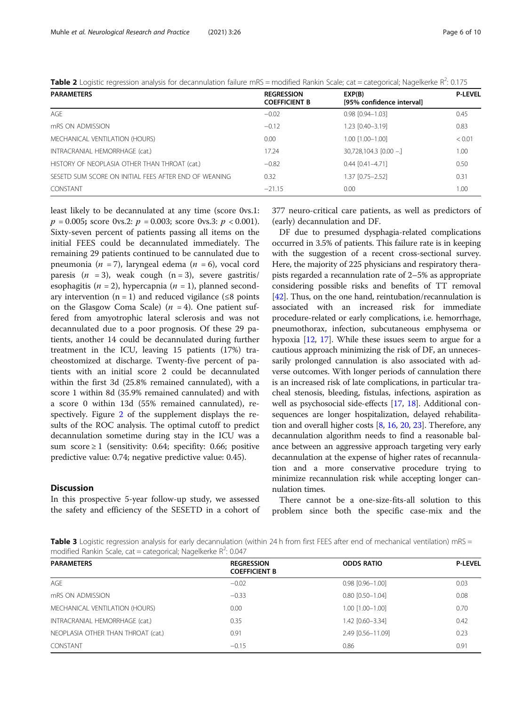<span id="page-5-0"></span>

|  |  | Table 2 Logistic regression analysis for decannulation failure mRS = modified Rankin Scale; cat = categorical; Nagelkerke R <sup>2</sup> : 0.175 |  |
|--|--|--------------------------------------------------------------------------------------------------------------------------------------------------|--|
|--|--|--------------------------------------------------------------------------------------------------------------------------------------------------|--|

| <b>PARAMETERS</b>                                     | <b>REGRESSION</b><br><b>COEFFICIENT B</b> | EXP(B)<br>[95% confidence interval] | <b>P-LEVEL</b> |
|-------------------------------------------------------|-------------------------------------------|-------------------------------------|----------------|
| AGF                                                   | $-0.02$                                   | $0.98$ $[0.94 - 1.03]$              | 0.45           |
| mRS ON ADMISSION                                      | $-0.12$                                   | 1.23 [0.40-3.19]                    | 0.83           |
| MECHANICAL VENTILATION (HOURS)                        | 0.00                                      | $1.00$ $[1.00 - 1.00]$              | < 0.01         |
| INTRACRANIAL HEMORRHAGE (cat.)                        | 17.24                                     | 30,728,104.3 [0.00 -.]              | 1.00           |
| HISTORY OF NEOPLASIA OTHER THAN THROAT (cat.)         | $-0.82$                                   | $0.44$ $[0.41 - 4.71]$              | 0.50           |
| SESETD SUM SCORE ON INITIAL FEES AFTER END OF WEANING | 0.32                                      | $1.37$ [0.75-2.52]                  | 0.31           |
| CONSTANT                                              | $-21.15$                                  | 0.00                                | 1.00           |

least likely to be decannulated at any time (score 0vs.1:  $p = 0.005$ ; score 0vs.2:  $p = 0.003$ ; score 0vs.3:  $p < 0.001$ ). Sixty-seven percent of patients passing all items on the initial FEES could be decannulated immediately. The remaining 29 patients continued to be cannulated due to pneumonia ( $n = 7$ ), laryngeal edema ( $n = 6$ ), vocal cord paresis  $(n = 3)$ , weak cough  $(n = 3)$ , severe gastritis/ esophagitis ( $n = 2$ ), hypercapnia ( $n = 1$ ), planned secondary intervention ( $n = 1$ ) and reduced vigilance ( $\leq 8$  points on the Glasgow Coma Scale)  $(n = 4)$ . One patient suffered from amyotrophic lateral sclerosis and was not decannulated due to a poor prognosis. Of these 29 patients, another 14 could be decannulated during further treatment in the ICU, leaving 15 patients (17%) tracheostomized at discharge. Twenty-five percent of patients with an initial score 2 could be decannulated within the first 3d (25.8% remained cannulated), with a score 1 within 8d (35.9% remained cannulated) and with a score 0 within 13d (55% remained cannulated), respectively. Figure [2](#page-8-0) of the supplement displays the results of the ROC analysis. The optimal cutoff to predict decannulation sometime during stay in the ICU was a sum score  $\geq 1$  (sensitivity: 0.64; specifity: 0.66; positive predictive value: 0.74; negative predictive value: 0.45).

#### **Discussion**

In this prospective 5-year follow-up study, we assessed the safety and efficiency of the SESETD in a cohort of 377 neuro-critical care patients, as well as predictors of (early) decannulation and DF.

DF due to presumed dysphagia-related complications occurred in 3.5% of patients. This failure rate is in keeping with the suggestion of a recent cross-sectional survey. Here, the majority of 225 physicians and respiratory therapists regarded a recannulation rate of 2–5% as appropriate considering possible risks and benefits of TT removal [[42](#page-9-0)]. Thus, on the one hand, reintubation/recannulation is associated with an increased risk for immediate procedure-related or early complications, i.e. hemorrhage, pneumothorax, infection, subcutaneous emphysema or hypoxia [[12,](#page-8-0) [17](#page-8-0)]. While these issues seem to argue for a cautious approach minimizing the risk of DF, an unnecessarily prolonged cannulation is also associated with adverse outcomes. With longer periods of cannulation there is an increased risk of late complications, in particular tracheal stenosis, bleeding, fistulas, infections, aspiration as well as psychosocial side-effects [[17](#page-8-0), [18\]](#page-9-0). Additional consequences are longer hospitalization, delayed rehabilitation and overall higher costs [\[8,](#page-8-0) [16](#page-8-0), [20,](#page-9-0) [23](#page-9-0)]. Therefore, any decannulation algorithm needs to find a reasonable balance between an aggressive approach targeting very early decannulation at the expense of higher rates of recannulation and a more conservative procedure trying to minimize recannulation risk while accepting longer cannulation times.

There cannot be a one-size-fits-all solution to this problem since both the specific case-mix and the

Table 3 Logistic regression analysis for early decannulation (within 24 h from first FEES after end of mechanical ventilation) mRS = modified Rankin Scale, cat = categorical; Nagelkerke  $R^2$ : 0.047

| <b>PARAMETERS</b>                  | <b>REGRESSION</b><br><b>COEFFICIENT B</b> | <b>ODDS RATIO</b>      | <b>P-LEVEL</b> |
|------------------------------------|-------------------------------------------|------------------------|----------------|
| AGE                                | $-0.02$                                   | $0.98$ $[0.96 - 1.00]$ | 0.03           |
| mRS ON ADMISSION                   | $-0.33$                                   | $0.80$ $[0.50 - 1.04]$ | 0.08           |
| MECHANICAL VENTILATION (HOURS)     | 0.00                                      | 1.00 [1.00-1.00]       | 0.70           |
| INTRACRANIAL HEMORRHAGE (cat.)     | 0.35                                      | 1.42 [0.60-3.34]       | 0.42           |
| NEOPLASIA OTHER THAN THROAT (cat.) | 0.91                                      | 2.49 [0.56-11.09]      | 0.23           |
| CONSTANT                           | $-0.15$                                   | 0.86                   | 0.91           |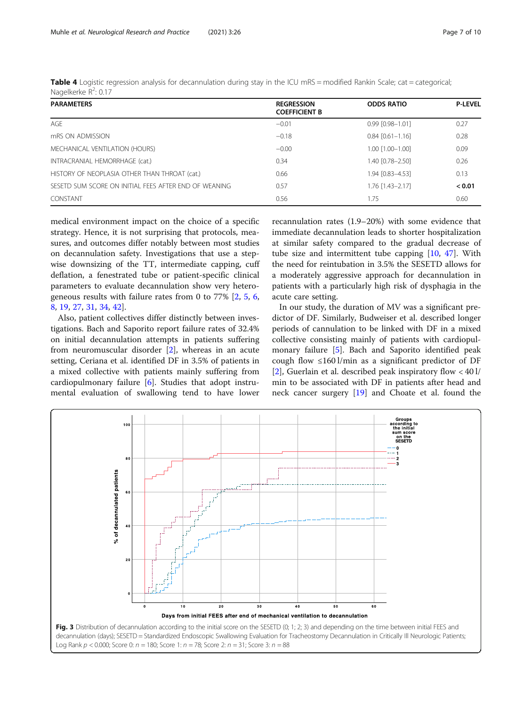| <b>PARAMETERS</b>                                     | <b>REGRESSION</b><br><b>COEFFICIENT B</b> | <b>ODDS RATIO</b>      | <b>P-LEVEL</b> |
|-------------------------------------------------------|-------------------------------------------|------------------------|----------------|
| AGE                                                   | $-0.01$                                   | $0.99$ $[0.98 - 1.01]$ | 0.27           |
| mRS ON ADMISSION                                      | $-0.18$                                   | $0.84$ [0.61-1.16]     | 0.28           |
| MECHANICAL VENTILATION (HOURS)                        | $-0.00$                                   | $1.00$ $[1.00 - 1.00]$ | 0.09           |
| INTRACRANIAL HEMORRHAGE (cat.)                        | 0.34                                      | 1.40 [0.78-2.50]       | 0.26           |
| HISTORY OF NEOPLASIA OTHER THAN THROAT (cat.)         | 0.66                                      | 1.94 [0.83-4.53]       | 0.13           |
| SESETD SUM SCORE ON INITIAL FEES AFTER END OF WEANING | 0.57                                      | 1.76 [1.43-2.17]       | < 0.01         |
| CONSTANT                                              | 0.56                                      | 1.75                   | 0.60           |

<span id="page-6-0"></span>Table 4 Logistic regression analysis for decannulation during stay in the ICU mRS = modified Rankin Scale; cat = categorical; Nagelkerke R<sup>2</sup>: 0.17

medical environment impact on the choice of a specific strategy. Hence, it is not surprising that protocols, measures, and outcomes differ notably between most studies on decannulation safety. Investigations that use a stepwise downsizing of the TT, intermediate capping, cuff deflation, a fenestrated tube or patient-specific clinical parameters to evaluate decannulation show very heterogeneous results with failure rates from 0 to 77% [[2,](#page-8-0) [5,](#page-8-0) [6](#page-8-0), [8,](#page-8-0) [19](#page-9-0), [27](#page-9-0), [31](#page-9-0), [34](#page-9-0), [42](#page-9-0)].

Also, patient collectives differ distinctly between investigations. Bach and Saporito report failure rates of 32.4% on initial decannulation attempts in patients suffering from neuromuscular disorder [\[2](#page-8-0)], whereas in an acute setting, Ceriana et al. identified DF in 3.5% of patients in a mixed collective with patients mainly suffering from cardiopulmonary failure  $[6]$  $[6]$ . Studies that adopt instrumental evaluation of swallowing tend to have lower recannulation rates (1.9–20%) with some evidence that immediate decannulation leads to shorter hospitalization at similar safety compared to the gradual decrease of tube size and intermittent tube capping [[10](#page-8-0), [47\]](#page-9-0). With the need for reintubation in 3.5% the SESETD allows for a moderately aggressive approach for decannulation in patients with a particularly high risk of dysphagia in the acute care setting.

In our study, the duration of MV was a significant predictor of DF. Similarly, Budweiser et al. described longer periods of cannulation to be linked with DF in a mixed collective consisting mainly of patients with cardiopulmonary failure [\[5](#page-8-0)]. Bach and Saporito identified peak cough flow ≤160 l/min as a significant predictor of DF [[2\]](#page-8-0), Guerlain et al. described peak inspiratory flow  $\langle 40 \,$ ]/ min to be associated with DF in patients after head and neck cancer surgery [\[19](#page-9-0)] and Choate et al. found the

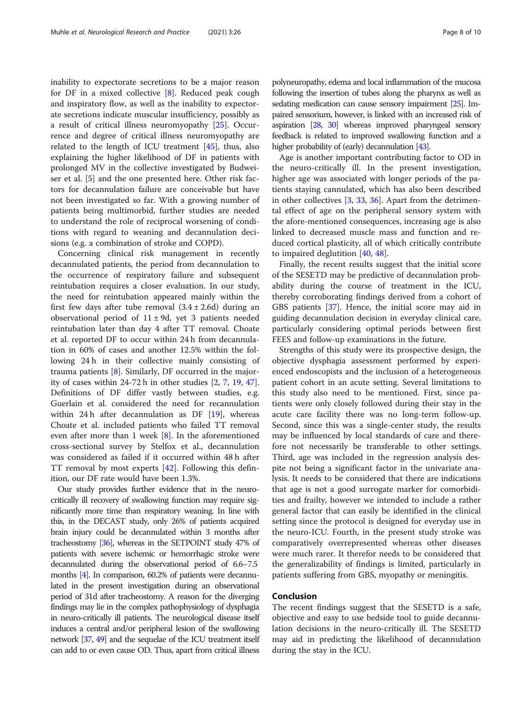inability to expectorate secretions to be a major reason for DF in a mixed collective [\[8](#page-8-0)]. Reduced peak cough and inspiratory flow, as well as the inability to expectorate secretions indicate muscular insufficiency, possibly as a result of critical illness neuromyopathy [\[25](#page-9-0)]. Occurrence and degree of critical illness neuromyopathy are related to the length of ICU treatment  $[45]$  $[45]$ , thus, also explaining the higher likelihood of DF in patients with prolonged MV in the collective investigated by Budweiser et al. [[5](#page-8-0)] and the one presented here. Other risk factors for decannulation failure are conceivable but have not been investigated so far. With a growing number of patients being multimorbid, further studies are needed to understand the role of reciprocal worsening of conditions with regard to weaning and decannulation decisions (e.g. a combination of stroke and COPD).

Concerning clinical risk management in recently decannulated patients, the period from decannulation to the occurrence of respiratory failure and subsequent reintubation requires a closer evaluation. In our study, the need for reintubation appeared mainly within the first few days after tube removal  $(3.4 \pm 2.6d)$  during an observational period of  $11 \pm 9d$ , yet 3 patients needed reintubation later than day 4 after TT removal. Choate et al. reported DF to occur within 24 h from decannulation in 60% of cases and another 12.5% within the following 24 h in their collective mainly consisting of trauma patients [\[8](#page-8-0)]. Similarly, DF occurred in the majority of cases within 24-72 h in other studies [\[2](#page-8-0), [7,](#page-8-0) [19,](#page-9-0) [47](#page-9-0)]. Definitions of DF differ vastly between studies, e.g. Guerlain et al. considered the need for recannulation within 24 h after decannulation as DF  $[19]$  $[19]$ , whereas Choate et al. included patients who failed TT removal even after more than 1 week [[8\]](#page-8-0). In the aforementioned cross-sectional survey by Stelfox et al., decannulation was considered as failed if it occurred within 48 h after TT removal by most experts [[42\]](#page-9-0). Following this definition, our DF rate would have been 1.3%.

Our study provides further evidence that in the neurocritically ill recovery of swallowing function may require significantly more time than respiratory weaning. In line with this, in the DECAST study, only 26% of patients acquired brain injury could be decannulated within 3 months after tracheostomy [\[36](#page-9-0)], whereas in the SETPOINT study 47% of patients with severe ischemic or hemorrhagic stroke were decannulated during the observational period of 6.6–7.5 months [\[4](#page-8-0)]. In comparison, 60.2% of patients were decannulated in the present investigation during an observational period of 31d after tracheostomy. A reason for the diverging findings may lie in the complex pathophysiology of dysphagia in neuro-critically ill patients. The neurological disease itself induces a central and/or peripheral lesion of the swallowing network [[37,](#page-9-0) [49\]](#page-9-0) and the sequelae of the ICU treatment itself can add to or even cause OD. Thus, apart from critical illness

polyneuropathy, edema and local inflammation of the mucosa following the insertion of tubes along the pharynx as well as sedating medication can cause sensory impairment [\[25](#page-9-0)]. Impaired sensorium, however, is linked with an increased risk of aspiration [\[28](#page-9-0), [30](#page-9-0)] whereas improved pharyngeal sensory feedback is related to improved swallowing function and a higher probability of (early) decannulation [[43\]](#page-9-0).

Age is another important contributing factor to OD in the neuro-critically ill. In the present investigation, higher age was associated with longer periods of the patients staying cannulated, which has also been described in other collectives [[3,](#page-8-0) [33,](#page-9-0) [36\]](#page-9-0). Apart from the detrimental effect of age on the peripheral sensory system with the afore-mentioned consequences, increasing age is also linked to decreased muscle mass and function and reduced cortical plasticity, all of which critically contribute to impaired deglutition [\[40](#page-9-0), [48](#page-9-0)].

Finally, the recent results suggest that the initial score of the SESETD may be predictive of decannulation probability during the course of treatment in the ICU, thereby corroborating findings derived from a cohort of GBS patients [[37](#page-9-0)]. Hence, the initial score may aid in guiding decannulation decision in everyday clinical care, particularly considering optimal periods between first FEES and follow-up examinations in the future.

Strengths of this study were its prospective design, the objective dysphagia assessment performed by experienced endoscopists and the inclusion of a heterogeneous patient cohort in an acute setting. Several limitations to this study also need to be mentioned. First, since patients were only closely followed during their stay in the acute care facility there was no long-term follow-up. Second, since this was a single-center study, the results may be influenced by local standards of care and therefore not necessarily be transferable to other settings. Third, age was included in the regression analysis despite not being a significant factor in the univariate analysis. It needs to be considered that there are indications that age is not a good surrogate marker for comorbidities and frailty, however we intended to include a rather general factor that can easily be identified in the clinical setting since the protocol is designed for everyday use in the neuro-ICU. Fourth, in the present study stroke was comparatively overrepresented whereas other diseases were much rarer. It therefor needs to be considered that the generalizability of findings is limited, particularly in patients suffering from GBS, myopathy or meningitis.

#### Conclusion

The recent findings suggest that the SESETD is a safe, objective and easy to use bedside tool to guide decannulation decisions in the neuro-critically ill. The SESETD may aid in predicting the likelihood of decannulation during the stay in the ICU.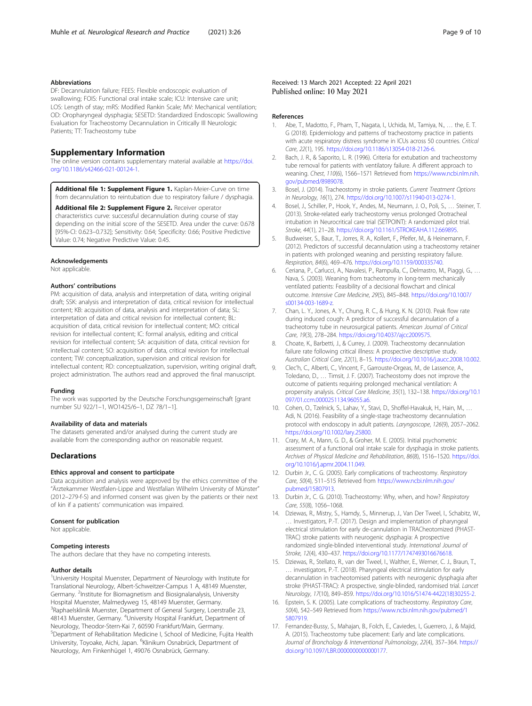#### <span id="page-8-0"></span>Abbreviations

DF: Decannulation failure; FEES: Flexible endoscopic evaluation of swallowing; FOIS: Functional oral intake scale; ICU: Intensive care unit; LOS: Length of stay; mRS: Modified Rankin Scale; MV: Mechanical ventilation; OD: Oropharyngeal dysphagia; SESETD: Standardized Endoscopic Swallowing Evaluation for Tracheostomy Decannulation in Critically Ill Neurologic Patients; TT: Tracheostomy tube

#### Supplementary Information

The online version contains supplementary material available at [https://doi.](https://doi.org/10.1186/s42466-021-00124-1) [org/10.1186/s42466-021-00124-1.](https://doi.org/10.1186/s42466-021-00124-1)

Additional file 1: Supplement Figure 1. Kaplan-Meier-Curve on time from decannulation to reintubation due to respiratory failure / dysphagia.

Additional file 2: Supplement Figure 2. Receiver operator characteristics curve: successful decannulation during course of stay depending on the initial score of the SESETD. Area under the curve: 0.678 [95%-CI: 0.623–0.732]; Sensitivity: 0.64; Specificity: 0.66; Positive Predictive Value: 0.74; Negative Predictive Value: 0.45.

#### Acknowledgements

Not applicable.

#### Authors' contributions

PM: acquisition of data, analysis and interpretation of data, writing original draft; SSK: analysis and interpretation of data, critical revision for intellectual content; KB: acquisition of data, analysis and interpretation of data; SL: interpretation of data and critical revision for intellectual content; BL: acquisition of data, critical revision for intellectual content; MO: critical revision for intellectual content; IC: formal analysis, editing and critical revision for intellectual content; SA: acquisition of data, critical revision for intellectual content; SO: acquisition of data, critical revision for intellectual content; TW: conceptualization, supervision and critical revision for intellectual content; RD: conceptualization, supervision, writing original draft, project administration. The authors read and approved the final manuscript.

#### Funding

The work was supported by the Deutsche Forschungsgemeinschaft [grant number SU 922/1–1, WO1425/6–1, DZ 78/1–1].

#### Availability of data and materials

The datasets generated and/or analysed during the current study are available from the corresponding author on reasonable request.

#### **Declarations**

#### Ethics approval and consent to participate

Data acquisition and analysis were approved by the ethics committee of the "Ärztekammer Westfalen-Lippe and Westfalian Wilhelm University of Münster" (2012–279-f-S) and informed consent was given by the patients or their next of kin if a patients' communication was impaired.

#### Consent for publication

Not applicable.

#### Competing interests

The authors declare that they have no competing interests.

#### Author details

<sup>1</sup>University Hospital Muenster, Department of Neurology with Institute for Translational Neurology, Albert-Schweitzer-Campus 1 A, 48149 Muenster, Germany. <sup>2</sup>Institute for Biomagnetism and Biosignalanalysis, University Hospital Muenster, Malmedyweg 15, 48149 Muenster, Germany. 3 Raphaelsklinik Muenster, Department of General Surgery, Loerstraße 23, 48143 Muenster, Germany. <sup>4</sup>University Hospital Frankfurt, Department of Neurology, Theodor-Stern-Kai 7, 60590 Frankfurt/Main, Germany. <sup>5</sup>Department of Rehabilitation Medicine I, School of Medicine, Fujita Health University, Toyoake, Aichi, Japan. <sup>6</sup>Klinikum Osnabrück, Department of Neurology, Am Finkenhügel 1, 49076 Osnabrück, Germany.

Received: 13 March 2021 Accepted: 22 April 2021 Published online: 10 May 2021

#### References

- 1. Abe, T., Madotto, F., Pham, T., Nagata, I., Uchida, M., Tamiya, N., … the, E. T. G (2018). Epidemiology and patterns of tracheostomy practice in patients with acute respiratory distress syndrome in ICUs across 50 countries. Critical Care, 22(1), 195. <https://doi.org/10.1186/s13054-018-2126-6>.
- 2. Bach, J. R., & Saporito, L. R. (1996). Criteria for extubation and tracheostomy tube removal for patients with ventilatory failure. A different approach to weaning. Chest, 110(6), 1566–1571 Retrieved from [https://www.ncbi.nlm.nih.](https://www.ncbi.nlm.nih.gov/pubmed/8989078) [gov/pubmed/8989078.](https://www.ncbi.nlm.nih.gov/pubmed/8989078)
- 3. Bosel, J. (2014). Tracheostomy in stroke patients. Current Treatment Options in Neurology, 16(1), 274. [https://doi.org/10.1007/s11940-013-0274-1.](https://doi.org/10.1007/s11940-013-0274-1)
- 4. Bosel, J., Schiller, P., Hook, Y., Andes, M., Neumann, J. O., Poli, S., … Steiner, T. (2013). Stroke-related early tracheostomy versus prolonged Orotracheal intubation in Neurocritical care trial (SETPOINT): A randomized pilot trial. Stroke, 44(1), 21–28. [https://doi.org/10.1161/STROKEAHA.112.669895.](https://doi.org/10.1161/STROKEAHA.112.669895)
- 5. Budweiser, S., Baur, T., Jorres, R. A., Kollert, F., Pfeifer, M., & Heinemann, F. (2012). Predictors of successful decannulation using a tracheostomy retainer in patients with prolonged weaning and persisting respiratory failure. Respiration, 84(6), 469–476. <https://doi.org/10.1159/000335740>.
- 6. Ceriana, P., Carlucci, A., Navalesi, P., Rampulla, C., Delmastro, M., Piaggi, G., … Nava, S. (2003). Weaning from tracheotomy in long-term mechanically ventilated patients: Feasibility of a decisional flowchart and clinical outcome. Intensive Care Medicine, 29(5), 845–848. [https://doi.org/10.1007/](https://doi.org/10.1007/s00134-003-1689-z) [s00134-003-1689-z](https://doi.org/10.1007/s00134-003-1689-z).
- 7. Chan, L. Y., Jones, A. Y., Chung, R. C., & Hung, K. N. (2010). Peak flow rate during induced cough: A predictor of successful decannulation of a tracheotomy tube in neurosurgical patients. American Journal of Critical Care, 19(3), 278–284. [https://doi.org/10.4037/ajcc2009575.](https://doi.org/10.4037/ajcc2009575)
- 8. Choate, K., Barbetti, J., & Currey, J. (2009). Tracheostomy decannulation failure rate following critical illness: A prospective descriptive study. Australian Critical Care, 22(1), 8–15. <https://doi.org/10.1016/j.aucc.2008.10.002>.
- 9. Clec'h, C., Alberti, C., Vincent, F., Garrouste-Orgeas, M., de Lassence, A., Toledano, D., … Timsit, J. F. (2007). Tracheostomy does not improve the outcome of patients requiring prolonged mechanical ventilation: A propensity analysis. Critical Care Medicine, 35(1), 132–138. [https://doi.org/10.1](https://doi.org/10.1097/01.ccm.0000251134.96055.a6) [097/01.ccm.0000251134.96055.a6.](https://doi.org/10.1097/01.ccm.0000251134.96055.a6)
- 10. Cohen, O., Tzelnick, S., Lahav, Y., Stavi, D., Shoffel-Havakuk, H., Hain, M., … Adi, N. (2016). Feasibility of a single-stage tracheostomy decannulation protocol with endoscopy in adult patients. Laryngoscope, 126(9), 2057–2062. <https://doi.org/10.1002/lary.25800>.
- 11. Crary, M. A., Mann, G. D., & Groher, M. E. (2005). Initial psychometric assessment of a functional oral intake scale for dysphagia in stroke patients. Archives of Physical Medicine and Rehabilitation, 86(8), 1516–1520. [https://doi.](https://doi.org/10.1016/j.apmr.2004.11.049) [org/10.1016/j.apmr.2004.11.049.](https://doi.org/10.1016/j.apmr.2004.11.049)
- 12. Durbin Jr., C. G. (2005). Early complications of tracheostomy. Respiratory Care, 50(4), 511–515 Retrieved from [https://www.ncbi.nlm.nih.gov/](https://www.ncbi.nlm.nih.gov/pubmed/15807913) [pubmed/15807913.](https://www.ncbi.nlm.nih.gov/pubmed/15807913)
- 13. Durbin Jr., C. G. (2010). Tracheostomy: Why, when, and how? Respiratory Care, 55(8), 1056–1068.
- 14. Dziewas, R., Mistry, S., Hamdy, S., Minnerup, J., Van Der Tweel, I., Schabitz, W., … Investigators, P.-T. (2017). Design and implementation of pharyngeal electrical stimulation for early de-cannulation in TRACheotomized (PHAST-TRAC) stroke patients with neurogenic dysphagia: A prospective randomized single-blinded interventional study. International Journal of Stroke, 12(4), 430–437. [https://doi.org/10.1177/1747493016676618.](https://doi.org/10.1177/1747493016676618)
- 15. Dziewas, R., Stellato, R., van der Tweel, I., Walther, E., Werner, C. J., Braun, T., … investigators, P.-T. (2018). Pharyngeal electrical stimulation for early decannulation in tracheotomised patients with neurogenic dysphagia after stroke (PHAST-TRAC): A prospective, single-blinded, randomised trial. Lancet Neurology, 17(10), 849–859. [https://doi.org/10.1016/S1474-4422\(18\)30255-2](https://doi.org/10.1016/S1474-4422(18)30255-2).
- 16. Epstein, S. K. (2005). Late complications of tracheostomy. Respiratory Care, 50(4), 542–549 Retrieved from [https://www.ncbi.nlm.nih.gov/pubmed/1](https://www.ncbi.nlm.nih.gov/pubmed/15807919) [5807919.](https://www.ncbi.nlm.nih.gov/pubmed/15807919)
- 17. Fernandez-Bussy, S., Mahajan, B., Folch, E., Caviedes, I., Guerrero, J., & Majid, A. (2015). Tracheostomy tube placement: Early and late complications. Journal of Bronchology & Interventional Pulmonology, 22(4), 357–364. [https://](https://doi.org/10.1097/LBR.0000000000000177) [doi.org/10.1097/LBR.0000000000000177](https://doi.org/10.1097/LBR.0000000000000177).